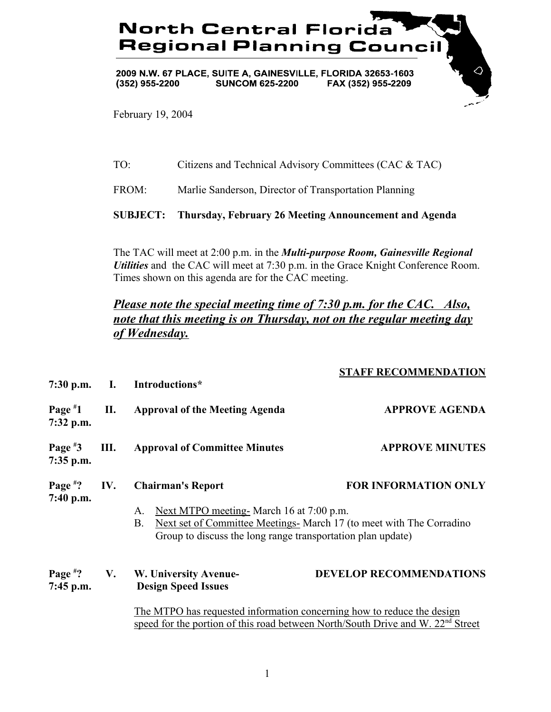## **North Central Florida Regional Planning Counci**

2009 N.W. 67 PLACE, SUITE A, GAINESVILLE, FLORIDA 32653-1603  $(352)$  955-2200 **SUNCOM 625-2200** FAX (352) 955-2209

February 19, 2004

## TO: Citizens and Technical Advisory Committees (CAC & TAC)

FROM: Marlie Sanderson, Director of Transportation Planning

**SUBJECT: Thursday, February 26 Meeting Announcement and Agenda**

The TAC will meet at 2:00 p.m. in the *Multi-purpose Room, Gainesville Regional Utilities* and the CAC will meet at 7:30 p.m. in the Grace Knight Conference Room. Times shown on this agenda are for the CAC meeting.

## *Please note the special meeting time of 7:30 p.m. for the CAC. Also, note that this meeting is on Thursday, not on the regular meeting day of Wednesday.*

|                            |     | 7:30 p.m. I. Introductions*                                                                                                                                                                                                                                   | <b>STAFF RECOMMENDATION</b>    |
|----------------------------|-----|---------------------------------------------------------------------------------------------------------------------------------------------------------------------------------------------------------------------------------------------------------------|--------------------------------|
| Page $*1$<br>$7:32$ p.m.   | П.  | <b>Approval of the Meeting Agenda</b>                                                                                                                                                                                                                         | <b>APPROVE AGENDA</b>          |
| Page $*3$<br>$7:35$ p.m.   | Ш.  | <b>Approval of Committee Minutes</b>                                                                                                                                                                                                                          | <b>APPROVE MINUTES</b>         |
| Page $*$ ?<br>$7:40$ p.m.  | IV. | <b>FOR INFORMATION ONLY</b><br><b>Chairman's Report</b><br>Next MTPO meeting- March 16 at 7:00 p.m.<br>A.<br>Next set of Committee Meetings- March 17 (to meet with The Corradino<br><b>B.</b><br>Group to discuss the long range transportation plan update) |                                |
| Page $*$ ? V.<br>7:45 p.m. |     | W. University Avenue-<br><b>Design Speed Issues</b>                                                                                                                                                                                                           | <b>DEVELOP RECOMMENDATIONS</b> |
|                            |     | The MTPO has requested information concerning how to reduce the design<br>speed for the portion of this road between North/South Drive and W. 22 <sup>nd</sup> Street                                                                                         |                                |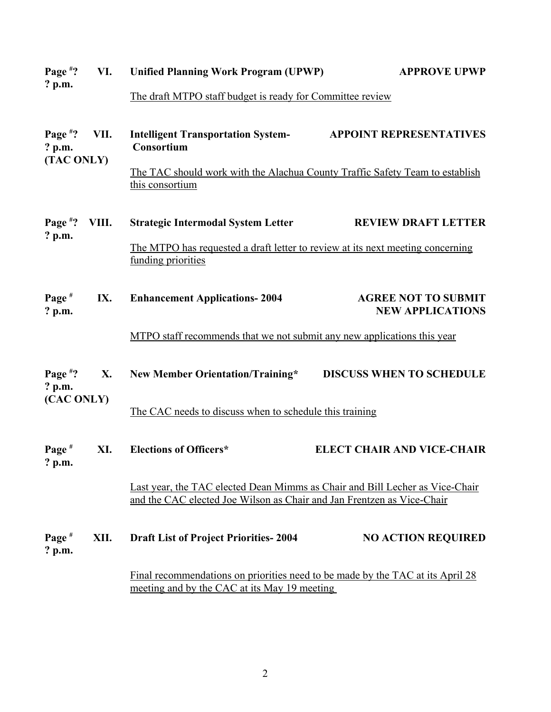| Page $*$ ?                           | VI.   | <b>Unified Planning Work Program (UPWP)</b>                                                                                                            | <b>APPROVE UPWP</b>                                   |  |
|--------------------------------------|-------|--------------------------------------------------------------------------------------------------------------------------------------------------------|-------------------------------------------------------|--|
| $?$ p.m.                             |       | The draft MTPO staff budget is ready for Committee review                                                                                              |                                                       |  |
| Page $*$ ?<br>$?$ p.m.<br>(TAC ONLY) | VII.  | <b>Intelligent Transportation System-</b><br>Consortium                                                                                                | <b>APPOINT REPRESENTATIVES</b>                        |  |
|                                      |       | The TAC should work with the Alachua County Traffic Safety Team to establish<br>this consortium                                                        |                                                       |  |
| Page $*$ ?                           | VIII. | <b>Strategic Intermodal System Letter</b>                                                                                                              | <b>REVIEW DRAFT LETTER</b>                            |  |
| $?$ p.m.                             |       | The MTPO has requested a draft letter to review at its next meeting concerning<br>funding priorities                                                   |                                                       |  |
| Page $#$<br>$?$ p.m.                 | IX.   | <b>Enhancement Applications-2004</b>                                                                                                                   | <b>AGREE NOT TO SUBMIT</b><br><b>NEW APPLICATIONS</b> |  |
|                                      |       | MTPO staff recommends that we not submit any new applications this year                                                                                |                                                       |  |
| Page $*$ ?<br>$?$ p.m.<br>(CAC ONLY) | X.    | New Member Orientation/Training*                                                                                                                       | <b>DISCUSS WHEN TO SCHEDULE</b>                       |  |
|                                      |       | The CAC needs to discuss when to schedule this training                                                                                                |                                                       |  |
| Page $#$<br>$?$ p.m.                 | XI.   | <b>Elections of Officers*</b>                                                                                                                          | <b>ELECT CHAIR AND VICE-CHAIR</b>                     |  |
|                                      |       | Last year, the TAC elected Dean Mimms as Chair and Bill Lecher as Vice-Chair<br>and the CAC elected Joe Wilson as Chair and Jan Frentzen as Vice-Chair |                                                       |  |
| Page $#$<br>$?$ p.m.                 | XII.  | <b>Draft List of Project Priorities-2004</b>                                                                                                           | <b>NO ACTION REQUIRED</b>                             |  |
|                                      |       | <u>Final recommendations on priorities need to be made by the TAC at its April 28</u><br>meeting and by the CAC at its May 19 meeting                  |                                                       |  |